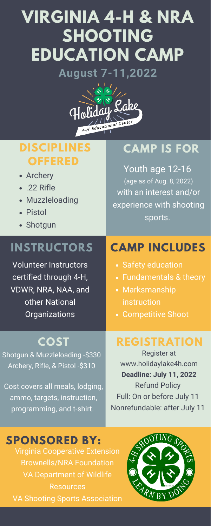# **VIRGINIA 4-H & NRA SHOOTING EDUCATION CAMP August 7-11,2022**



Volunteer Instructors certified through 4-H, VDWR, NRA, NAA, and other National Organizations

### **INSTRUCTORS**

- Archery
- .22 Rifle
- Muzzleloading
- Pistol
- Shotgun

### **DISCIPLINES OFFERED**

Youth age 12-16 (age as of Aug. 8, 2022) with an interest and/or experience with shooting sports.

### **CAMP IS FOR**

# **CAMP INCLUDES**

no, targets, instruction, programming, and t-shirt.

#### Full: On or before July 11 Nonrefundable: after July 11

### **SPONSORED BY:**

| <u>UI YUITILUUUTU</u>           | <b>V</b> UUITIPULITIVU UITUUT |
|---------------------------------|-------------------------------|
| COST                            | <b>REGISTRATION</b>           |
| Shotgun & Muzzleloading -\$330  | <b>Register at</b>            |
| Archery, Rifle, & Pistol -\$310 | www.holidaylake4h.com         |
|                                 | Deadline: July 11, 2022       |
| Cost covers all meals, lodging, | <b>Refund Policy</b>          |
| ammo targate inetruction        | Full: On or before, lullv 11  |

Virginia Cooperative Extension Brownells/NRA Foundation VA Department of Wildlife **Resources** VA Shooting Sports Association



- Safety education
- Fundamentals & theory
- Marksmanship instruction
- Competitive Shoot